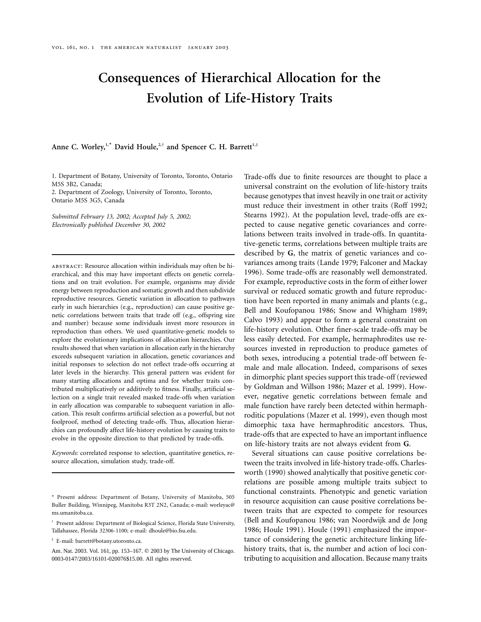# **Consequences of Hierarchical Allocation for the Evolution of Life-History Traits**

# Anne C. Worley,<sup>1,\*</sup> David Houle,<sup>2,†</sup> and Spencer C. H. Barrett<sup>1,‡</sup>

1. Department of Botany, University of Toronto, Toronto, Ontario M5S 3B2, Canada;

2. Department of Zoology, University of Toronto, Toronto, Ontario M5S 3G5, Canada

*Submitted February 13, 2002; Accepted July 5, 2002; Electronically published December 30, 2002*

abstract: Resource allocation within individuals may often be hierarchical, and this may have important effects on genetic correlations and on trait evolution. For example, organisms may divide energy between reproduction and somatic growth and then subdivide reproductive resources. Genetic variation in allocation to pathways early in such hierarchies (e.g., reproduction) can cause positive genetic correlations between traits that trade off (e.g., offspring size and number) because some individuals invest more resources in reproduction than others. We used quantitative-genetic models to explore the evolutionary implications of allocation hierarchies. Our results showed that when variation in allocation early in the hierarchy exceeds subsequent variation in allocation, genetic covariances and initial responses to selection do not reflect trade-offs occurring at later levels in the hierarchy. This general pattern was evident for many starting allocations and optima and for whether traits contributed multiplicatively or additively to fitness. Finally, artificial selection on a single trait revealed masked trade-offs when variation in early allocation was comparable to subsequent variation in allocation. This result confirms artificial selection as a powerful, but not foolproof, method of detecting trade-offs. Thus, allocation hierarchies can profoundly affect life-history evolution by causing traits to evolve in the opposite direction to that predicted by trade-offs.

*Keywords:* correlated response to selection, quantitative genetics, resource allocation, simulation study, trade-off.

Trade-offs due to finite resources are thought to place a universal constraint on the evolution of life-history traits because genotypes that invest heavily in one trait or activity must reduce their investment in other traits (Roff 1992; Stearns 1992). At the population level, trade-offs are expected to cause negative genetic covariances and correlations between traits involved in trade-offs. In quantitative-genetic terms, correlations between multiple traits are described by **G**, the matrix of genetic variances and covariances among traits (Lande 1979; Falconer and Mackay 1996). Some trade-offs are reasonably well demonstrated. For example, reproductive costs in the form of either lower survival or reduced somatic growth and future reproduction have been reported in many animals and plants (e.g., Bell and Koufopanou 1986; Snow and Whigham 1989; Calvo 1993) and appear to form a general constraint on life-history evolution. Other finer-scale trade-offs may be less easily detected. For example, hermaphrodites use resources invested in reproduction to produce gametes of both sexes, introducing a potential trade-off between female and male allocation. Indeed, comparisons of sexes in dimorphic plant species support this trade-off (reviewed by Goldman and Willson 1986; Mazer et al. 1999). However, negative genetic correlations between female and male function have rarely been detected within hermaphroditic populations (Mazer et al. 1999), even though most dimorphic taxa have hermaphroditic ancestors. Thus, trade-offs that are expected to have an important influence on life-history traits are not always evident from **G**.

Several situations can cause positive correlations between the traits involved in life-history trade-offs. Charlesworth (1990) showed analytically that positive genetic correlations are possible among multiple traits subject to functional constraints. Phenotypic and genetic variation in resource acquisition can cause positive correlations between traits that are expected to compete for resources (Bell and Koufopanou 1986; van Noordwijk and de Jong 1986; Houle 1991). Houle (1991) emphasized the importance of considering the genetic architecture linking lifehistory traits, that is, the number and action of loci contributing to acquisition and allocation. Because many traits

<sup>\*</sup> Present address: Department of Botany, University of Manitoba, 505 Buller Building, Winnipeg, Manitoba R3T 2N2, Canada; e-mail: worleyac@ ms.umanitoba.ca.

<sup>†</sup> Present address: Department of Biological Science, Florida State University, Tallahassee, Florida 32306-1100; e-mail: dhoule@bio.fsu.edu.

<sup>‡</sup> E-mail: barrett@botany.utoronto.ca.

Am. Nat. 2003. Vol. 161, pp. 153-167. © 2003 by The University of Chicago. 0003-0147/2003/16101-020076\$15.00. All rights reserved.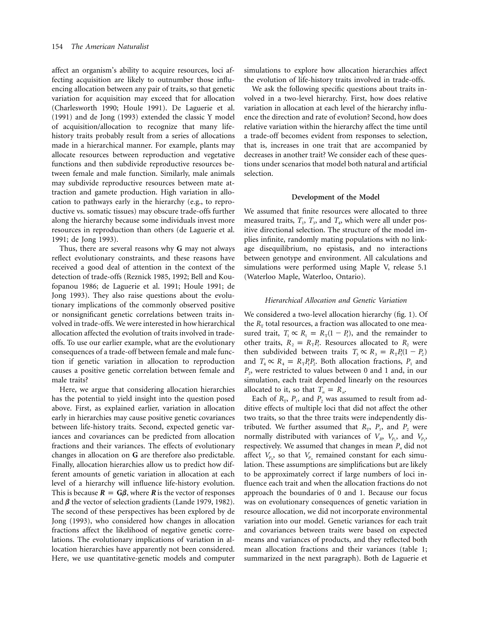affect an organism's ability to acquire resources, loci affecting acquisition are likely to outnumber those influencing allocation between any pair of traits, so that genetic variation for acquisition may exceed that for allocation (Charlesworth 1990; Houle 1991). De Laguerie et al. (1991) and de Jong (1993) extended the classic Y model of acquisition/allocation to recognize that many lifehistory traits probably result from a series of allocations made in a hierarchical manner. For example, plants may allocate resources between reproduction and vegetative functions and then subdivide reproductive resources between female and male function. Similarly, male animals may subdivide reproductive resources between mate attraction and gamete production. High variation in allocation to pathways early in the hierarchy (e.g., to reproductive vs. somatic tissues) may obscure trade-offs further along the hierarchy because some individuals invest more resources in reproduction than others (de Laguerie et al. 1991; de Jong 1993).

Thus, there are several reasons why **G** may not always reflect evolutionary constraints, and these reasons have received a good deal of attention in the context of the detection of trade-offs (Reznick 1985, 1992; Bell and Koufopanou 1986; de Laguerie et al. 1991; Houle 1991; de Jong 1993). They also raise questions about the evolutionary implications of the commonly observed positive or nonsignificant genetic correlations between traits involved in trade-offs. We were interested in how hierarchical allocation affected the evolution of traits involved in tradeoffs. To use our earlier example, what are the evolutionary consequences of a trade-off between female and male function if genetic variation in allocation to reproduction causes a positive genetic correlation between female and male traits?

Here, we argue that considering allocation hierarchies has the potential to yield insight into the question posed above. First, as explained earlier, variation in allocation early in hierarchies may cause positive genetic covariances between life-history traits. Second, expected genetic variances and covariances can be predicted from allocation fractions and their variances. The effects of evolutionary changes in allocation on **G** are therefore also predictable. Finally, allocation hierarchies allow us to predict how different amounts of genetic variation in allocation at each level of a hierarchy will influence life-history evolution. This is because  $R = G\beta$ , where *R* is the vector of responses and  $\beta$  the vector of selection gradients (Lande 1979, 1982). The second of these perspectives has been explored by de Jong (1993), who considered how changes in allocation fractions affect the likelihood of negative genetic correlations. The evolutionary implications of variation in allocation hierarchies have apparently not been considered. Here, we use quantitative-genetic models and computer simulations to explore how allocation hierarchies affect the evolution of life-history traits involved in trade-offs.

We ask the following specific questions about traits involved in a two-level hierarchy. First, how does relative variation in allocation at each level of the hierarchy influence the direction and rate of evolution? Second, how does relative variation within the hierarchy affect the time until a trade-off becomes evident from responses to selection, that is, increases in one trait that are accompanied by decreases in another trait? We consider each of these questions under scenarios that model both natural and artificial selection.

### **Development of the Model**

We assumed that finite resources were allocated to three measured traits,  $T_1$ ,  $T_3$ , and  $T_4$ , which were all under positive directional selection. The structure of the model implies infinite, randomly mating populations with no linkage disequilibrium, no epistasis, and no interactions between genotype and environment. All calculations and simulations were performed using Maple V, release 5.1 (Waterloo Maple, Waterloo, Ontario).

#### *Hierarchical Allocation and Genetic Variation*

We considered a two-level allocation hierarchy (fig. 1). Of the  $R<sub>T</sub>$  total resources, a fraction was allocated to one measured trait,  $T_1 \propto R_1 = R_T(1 - P_1)$ , and the remainder to other traits,  $R_2 = R_{\text{T}} P_1$ . Resources allocated to  $R_2$  were then subdivided between traits  $T_3 \propto R_3 = R_{\text{T}} P_1 (1 - P_2)$ and  $T_4 \propto R_4 = R_T P_1 P_2$ . Both allocation fractions,  $P_1$  and *P*<sub>2</sub>, were restricted to values between 0 and 1 and, in our simulation, each trait depended linearly on the resources allocated to it, so that  $T_n = R_n$ .

Each of  $R_T$ ,  $P_1$ , and  $P_2$  was assumed to result from additive effects of multiple loci that did not affect the other two traits, so that the three traits were independently distributed. We further assumed that  $R_T$ ,  $P_1$ , and  $P_2$  were normally distributed with variances of  $V_R$ ,  $V_p$ , and  $V_p$ , respectively. We assumed that changes in mean  $P_n$  did not affect  $V_{p}$ , so that  $V_{p}$  remained constant for each simulation. These assumptions are simplifications but are likely to be approximately correct if large numbers of loci influence each trait and when the allocation fractions do not approach the boundaries of 0 and 1. Because our focus was on evolutionary consequences of genetic variation in resource allocation, we did not incorporate environmental variation into our model. Genetic variances for each trait and covariances between traits were based on expected means and variances of products, and they reflected both mean allocation fractions and their variances (table 1; summarized in the next paragraph). Both de Laguerie et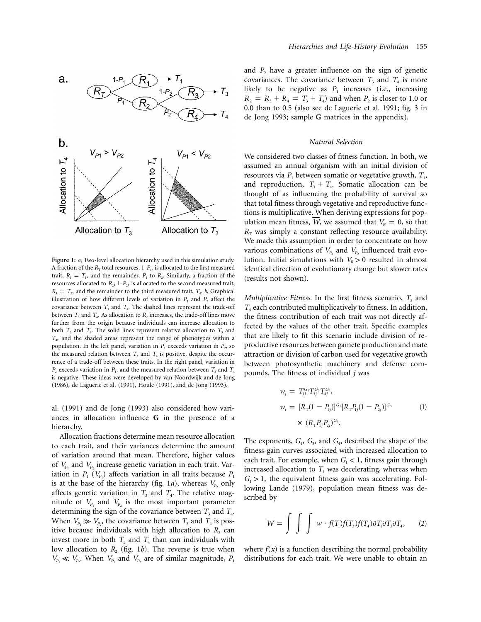

**Figure 1:** *a*, Two-level allocation hierarchy used in this simulation study. A fraction of the  $R_T$  total resources,  $1-P_1$ , is allocated to the first measured trait,  $R_1 = T_1$ , and the remainder,  $P_1$  to  $R_2$ . Similarly, a fraction of the resources allocated to  $R_2$ , 1- $P_2$ , is allocated to the second measured trait,  $R_3 = T_3$ , and the remainder to the third measured trait,  $T_4$ , b, Graphical illustration of how different levels of variation in  $P_1$  and  $P_2$  affect the covariance between  $T_3$  and  $T_4$ . The dashed lines represent the trade-off between  $T_3$  and  $T_4$ . As allocation to  $R_2$  increases, the trade-off lines move further from the origin because individuals can increase allocation to both  $T_3$  and  $T_4$ . The solid lines represent relative allocation to  $T_3$  and *T*4, and the shaded areas represent the range of phenotypes within a population. In the left panel, variation in  $P_1$  exceeds variation in  $P_2$ , so the measured relation between  $T_3$  and  $T_4$  is positive, despite the occurrence of a trade-off between these traits. In the right panel, variation in  $P_2$  exceeds variation in  $P_1$ , and the measured relation between  $T_3$  and  $T_4$ is negative. These ideas were developed by van Noordwijk and de Jong (1986), de Laguerie et al. (1991), Houle (1991), and de Jong (1993).

al. (1991) and de Jong (1993) also considered how variances in allocation influence **G** in the presence of a hierarchy.

Allocation fractions determine mean resource allocation to each trait, and their variances determine the amount of variation around that mean. Therefore, higher values of  $V_{P_1}$  and  $V_{P_2}$  increase genetic variation in each trait. Variation in  $P_1$  ( $V_{P_1}$ ) affects variation in all traits because  $P_1$ is at the base of the hierarchy (fig. 1*a*), whereas  $V_{P_2}$  only affects genetic variation in  $T_3$  and  $T_4$ . The relative magnitude of  $V_{P_1}$  and  $V_{P_2}$  is the most important parameter determining the sign of the covariance between  $T_3$  and  $T_4$ . When  $V_{P_1} \gg V_{P_2}$ , the covariance between  $T_3$  and  $T_4$  is positive because individuals with high allocation to  $R_2$  can invest more in both  $T_3$  and  $T_4$  than can individuals with low allocation to  $R_2$  (fig. 1*b*). The reverse is true when  $V_{P_1} \ll V_{P_2}$ . When  $V_{P_1}$  and  $V_{P_2}$  are of similar magnitude,  $P_1$ 

and  $P_2$  have a greater influence on the sign of genetic covariances. The covariance between  $T_3$  and  $T_4$  is more likely to be negative as  $P_1$  increases (i.e., increasing  $R_2 = R_3 + R_4 = T_3 + T_4$  and when  $P_2$  is closer to 1.0 or 0.0 than to 0.5 (also see de Laguerie et al. 1991; fig. 3 in de Jong 1993; sample **G** matrices in the appendix).

## *Natural Selection*

We considered two classes of fitness function. In both, we assumed an annual organism with an initial division of resources via  $P_1$  between somatic or vegetative growth,  $T_1$ , and reproduction,  $T_3 + T_4$ . Somatic allocation can be thought of as influencing the probability of survival so that total fitness through vegetative and reproductive functions is multiplicative. When deriving expressions for population mean fitness, *W*, we assumed that  $V_R = 0$ , so that  $R<sub>T</sub>$  was simply a constant reflecting resource availability. We made this assumption in order to concentrate on how various combinations of  $V_{P_1}$  and  $V_{P_2}$  influenced trait evolution. Initial simulations with  $V_R > 0$  resulted in almost identical direction of evolutionary change but slower rates (results not shown).

*Multiplicative Fitness.* In the first fitness scenario,  $T_3$  and *T*<sup>4</sup> each contributed multiplicatively to fitness. In addition, the fitness contribution of each trait was not directly affected by the values of the other trait. Specific examples that are likely to fit this scenario include division of reproductive resources between gamete production and mate attraction or division of carbon used for vegetative growth between photosynthetic machinery and defense compounds. The fitness of individual *j* was

$$
w_j = T_{1j}^{G_1} T_{3j}^{G_3} T_{4j}^{G_4},
$$
  
\n
$$
w_i = [R_{\rm T} (1 - P_{1j})]^{G_1} [R_{\rm T} P_{1j} (1 - P_{2j})]^{G_3}
$$
  
\n
$$
\times (R_{\rm T} P_{1j} P_{2j})^{G_4}.
$$
\n(1)

The exponents,  $G_1$ ,  $G_3$ , and  $G_4$ , described the shape of the fitness-gain curves associated with increased allocation to each trait. For example, when  $G_1 < 1$ , fitness gain through increased allocation to  $T_1$  was decelerating, whereas when  $G<sub>1</sub> > 1$ , the equivalent fitness gain was accelerating. Following Lande (1979), population mean fitness was described by

$$
\overline{W} = \int \int \int w \cdot f(T_1) f(T_3) f(T_4) \partial T_1 \partial T_3 \partial T_4, \qquad (2)
$$

where  $f(x)$  is a function describing the normal probability distributions for each trait. We were unable to obtain an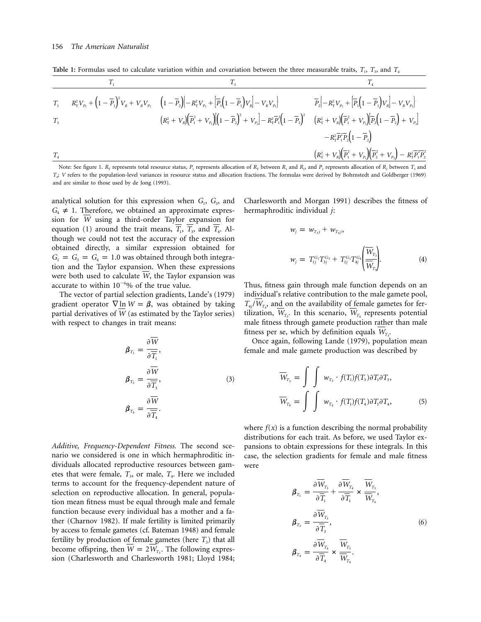Table 1: Formulas used to calculate variation within and covariation between the three measurable traits,  $T_1$ ,  $T_2$ , and  $T_4$ 

$$
\frac{T_1}{T_1}
$$
\n
$$
\frac{T_2}{T_1}
$$
\n
$$
\frac{1}{R_{\rm T}^2 V_{P_1} + (1 - \overline{P_1})^2 V_R + V_R V_{P_1}
$$
\n
$$
\frac{1}{R_{\rm T}^2 + V_R} \left(1 - \overline{P_2}\right) \left[-R_{\rm T}^2 V_{P_1} + \left[\overline{P_1}(1 - \overline{P_1}) V_R\right] - V_R V_{P_1}\right]
$$
\n
$$
\frac{1}{R_{\rm T}^2} \left[-R_{\rm T}^2 V_{P_1} + \left[\overline{P_1}(1 - \overline{P_1}) V_R\right] - V_R V_{P_1}\right]
$$
\n
$$
\frac{1}{R_{\rm T}^2 + V_R} \left[\overline{P_1}^2 + V_{P_1}\right] \left[(1 - \overline{P_2})^2 + V_{P_2}\right] - R_{\rm T}^2 \overline{P_1}^2 \left(1 - \overline{P_2}\right)^2
$$
\n
$$
\frac{1}{R_{\rm T}^2 + V_R} \left[\overline{P_2}\left(1 - \overline{P_2}\right) + V_{P_2}\right]
$$
\n
$$
\frac{1}{R_{\rm T}^2 + V_R} \left[\overline{P_2}^2 + V_{P_1}\right] \left[\overline{P_2}^2 + V_{P_2}\right] - R_{\rm T}^2 \overline{P_1}^2 \overline{P_2}^2
$$
\n
$$
\frac{1}{R_{\rm T}^2 + V_R} \left[\overline{P_1}^2 + V_{P_1}\right] \left[\overline{P_2}^2 + V_{P_2}\right) - R_{\rm T}^2 \overline{P_1}^2 \overline{P_2}^2
$$

Note: See figure 1.  $R_T$  represents total resource status,  $P_1$  represents allocation of  $R_T$  between  $R_1$  and  $R_2$ , and  $P_2$  represents allocation of  $R_2$  between  $T_3$  and  $T_i$ ; *V* refers to the population-level variances in resource status and allocation fractions. The formulas were derived by Bohrnstedt and Goldberger (1969) and are similar to those used by de Jong (1993).

analytical solution for this expression when  $G_1$ ,  $G_3$ , and  $G_4 \neq 1$ . Therefore, we obtained an approximate expression for *W* using a third-order Taylor expansion for equation (1) around the trait means,  $\overline{T_1}$ ,  $\overline{T_3}$ , and  $\overline{T_4}$ . Although we could not test the accuracy of the expression obtained directly, a similar expression obtained for  $G_1 = G_3 = G_4 = 1.0$  was obtained through both integration and the Taylor expansion. When these expressions were both used to calculate W, the Taylor expansion was accurate to within  $10^{-6}$ % of the true value.

The vector of partial selection gradients, Lande's (1979) gradient operator  $\nabla$  ln *W* =  $\beta$ , was obtained by taking partial derivatives of W (as estimated by the Taylor series) with respect to changes in trait means:

$$
\beta_{T_1} = \frac{\partial \overline{W}}{\partial \overline{T_1}},
$$
\n
$$
\beta_{T_3} = \frac{\partial \overline{W}}{\partial \overline{T_3}},
$$
\n
$$
\beta_{T_4} = \frac{\partial \overline{W}}{\partial \overline{T_4}}.
$$
\n(3)

*Additive, Frequency-Dependent Fitness.* The second scenario we considered is one in which hermaphroditic individuals allocated reproductive resources between gametes that were female,  $T_3$ , or male,  $T_4$ . Here we included terms to account for the frequency-dependent nature of selection on reproductive allocation. In general, population mean fitness must be equal through male and female function because every individual has a mother and a father (Charnov 1982). If male fertility is limited primarily by access to female gametes (cf. Bateman 1948) and female fertility by production of female gametes (here  $T_3$ ) that all become offspring, then  $\overline{W} = 2\overline{W}_T$ . The following expression (Charlesworth and Charlesworth 1981; Lloyd 1984;

Charlesworth and Morgan 1991) describes the fitness of hermaphroditic individual *j*:

$$
w_j = w_{T_{3}j} + w_{T_{4}j},
$$
  
\n
$$
w_j = T_{1j}^{G_1} T_{3j}^{G_3} + T_{1j}^{G_1} T_{4j}^{G_4} \left( \frac{\overline{W}_{T_{3}}}{\overline{W}_{T_{4}}} \right).
$$
\n(4)

Thus, fitness gain through male function depends on an individual's relative contribution to the male gamete pool,  $T_{4}$ */W<sub>T</sub>*, and on the availability of female gametes for fertilization,  $W_{T_3}$ . In this scenario,  $W_{T_4}$  represents potential male fitness through gamete production rather than male fitness per se, which by definition equals  $W_{T_3}$ .

Once again, following Lande (1979), population mean female and male gamete production was described by

$$
\overline{W}_{T_3} = \int \int w_{T_3} \cdot f(T_1) f(T_3) \partial T_1 \partial T_3,
$$
  

$$
\overline{W}_{T_4} = \int \int w_{T_4} \cdot f(T_1) f(T_4) \partial T_1 \partial T_4,
$$
 (5)

where  $f(x)$  is a function describing the normal probability distributions for each trait. As before, we used Taylor expansions to obtain expressions for these integrals. In this case, the selection gradients for female and male fitness were

$$
\beta_{T_1} = \frac{\partial \overline{W}_{T_3}}{\partial \overline{T}_1} + \frac{\partial \overline{W}_{T_4}}{\partial \overline{T}_1} \times \overline{\overline{W}_{T_3}},
$$
\n
$$
\beta_{T_3} = \frac{\partial \overline{W}_{T_3}}{\partial \overline{T}_3},
$$
\n
$$
\beta_{T_4} = \frac{\partial \overline{W}_{T_4}}{\partial \overline{T}_4} \times \overline{\overline{W}_{T_3}}.
$$
\n(6)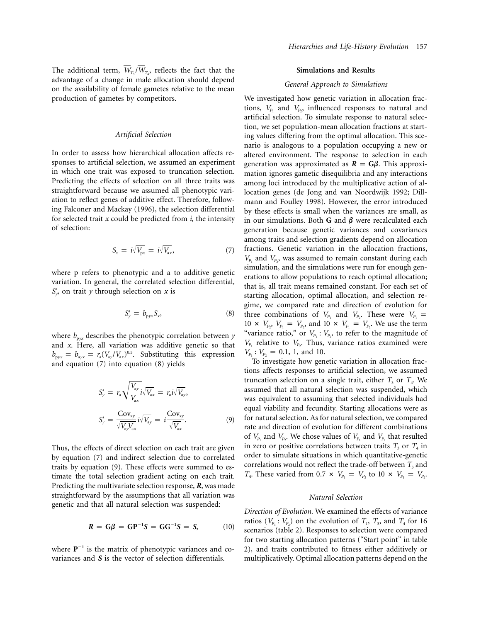The additional term,  $W_{T_3}/W_{T_4}$ , reflects the fact that the advantage of a change in male allocation should depend on the availability of female gametes relative to the mean production of gametes by competitors.

## *Artificial Selection*

In order to assess how hierarchical allocation affects responses to artificial selection, we assumed an experiment in which one trait was exposed to truncation selection. Predicting the effects of selection on all three traits was straightforward because we assumed all phenotypic variation to reflect genes of additive effect. Therefore, following Falconer and Mackay (1996), the selection differential for selected trait *x* could be predicted from *i*, the intensity of selection:

$$
S_x = i\sqrt{V_{px}} = i\sqrt{V_{ax}}, \qquad (7)
$$

where p refers to phenotypic and a to additive genetic variation. In general, the correlated selection differential,  $S'_y$ , on trait *y* through selection on *x* is

$$
S'_{y} = b_{\text{pyx}} S_x, \tag{8}
$$

where  $b_{\text{p}yx}$  describes the phenotypic correlation between *y* and *x*. Here, all variation was additive genetic so that  $b_{\text{p}yx} = b_{\text{a}yx} = r_a (V_{\text{a}y} / V_{\text{a}x})^{0.5}$ . Substituting this expression and equation (7) into equation (8) yields

$$
S'_{y} = r_{\rm a} \sqrt{\frac{V_{\rm ay}}{V_{\rm ax}}} i \sqrt{V_{\rm ax}} = r_{\rm a} i \sqrt{V_{\rm ay}},
$$
  

$$
S'_{y} = \frac{\text{Cov}_{\rm xy}}{\sqrt{V_{\rm ay}} V_{\rm ax}} i \sqrt{V_{\rm ay}} = i \frac{\text{Cov}_{\rm xy}}{\sqrt{V_{\rm ax}}}.
$$
 (9)

Thus, the effects of direct selection on each trait are given by equation (7) and indirect selection due to correlated traits by equation (9). These effects were summed to estimate the total selection gradient acting on each trait. Predicting the multivariate selection response, *R*, was made straightforward by the assumptions that all variation was genetic and that all natural selection was suspended:

$$
R = G\beta = GP^{-1}S = GG^{-1}S = S,
$$
 (10)

where  $P^{-1}$  is the matrix of phenotypic variances and covariances and *S* is the vector of selection differentials.

## **Simulations and Results**

#### *General Approach to Simulations*

We investigated how genetic variation in allocation fractions,  $V_{P_1}$  and  $V_{P_2}$ , influenced responses to natural and artificial selection. To simulate response to natural selection, we set population-mean allocation fractions at starting values differing from the optimal allocation. This scenario is analogous to a population occupying a new or altered environment. The response to selection in each generation was approximated as  $R = G\beta$ . This approximation ignores gametic disequilibria and any interactions among loci introduced by the multiplicative action of allocation genes (de Jong and van Noordwijk 1992; Dillmann and Foulley 1998). However, the error introduced by these effects is small when the variances are small, as in our simulations. Both **G** and  $\beta$  were recalculated each generation because genetic variances and covariances among traits and selection gradients depend on allocation fractions. Genetic variation in the allocation fractions,  $V_{P_1}$  and  $V_{P_2}$ , was assumed to remain constant during each simulation, and the simulations were run for enough generations to allow populations to reach optimal allocation; that is, all trait means remained constant. For each set of starting allocation, optimal allocation, and selection regime, we compared rate and direction of evolution for three combinations of  $V_{P_1}$  and  $V_{P_2}$ . These were  $V_{P_1}$  =  $10 \times V_{P_2}$ ,  $V_{P_1} = V_{P_2}$ , and  $10 \times V_{P_1} = V_{P_2}$ . We use the term "variance ratio," or  $V_{P_1}$ :  $V_{P_2}$ , to refer to the magnitude of  $V_{P_1}$  relative to  $V_{P_2}$ . Thus, variance ratios examined were  $V_{P_1}$ :  $V_{P_2} = 0.1$ , 1, and 10.

To investigate how genetic variation in allocation fractions affects responses to artificial selection, we assumed truncation selection on a single trait, either  $T_3$  or  $T_4$ . We assumed that all natural selection was suspended, which was equivalent to assuming that selected individuals had equal viability and fecundity. Starting allocations were as for natural selection. As for natural selection, we compared rate and direction of evolution for different combinations of  $V_{P_1}$  and  $V_{P_2}$ . We chose values of  $V_{P_1}$  and  $V_{P_2}$  that resulted in zero or positive correlations between traits  $T_3$  or  $T_4$  in order to simulate situations in which quantitative-genetic correlations would not reflect the trade-off between  $T_3$  and *T*<sub>4</sub>. These varied from 0.7  $\times$  *V*<sub>*P*<sub>1</sub></sub> = *V*<sub>*P*<sub>2</sub></sub> to 10  $\times$  *V*<sub>*P*<sub>1</sub></sub> = *V*<sub>*P*<sub>2</sub></sub>.

### *Natural Selection*

*Direction of Evolution.* We examined the effects of variance ratios ( $V_{p_1}$ :  $V_{p_2}$ ) on the evolution of  $T_1$ ,  $T_3$ , and  $T_4$  for 16 scenarios (table 2). Responses to selection were compared for two starting allocation patterns ("Start point" in table 2), and traits contributed to fitness either additively or multiplicatively. Optimal allocation patterns depend on the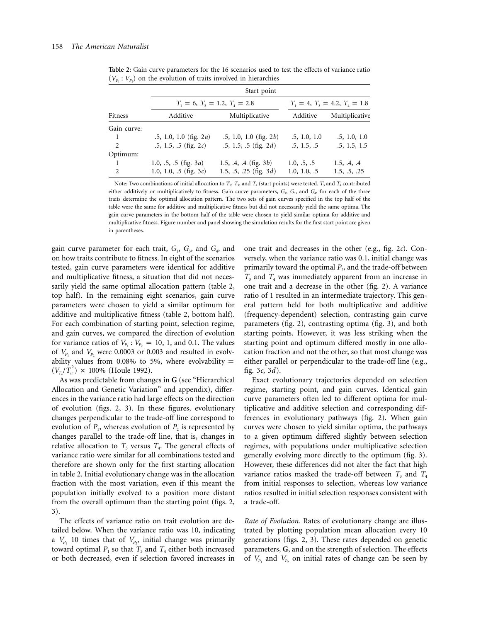|                | Start point                     |                                 |              |                |  |  |  |  |  |
|----------------|---------------------------------|---------------------------------|--------------|----------------|--|--|--|--|--|
|                | $T_1 = 6, T_2 = 1.2, T_4 = 2.8$ | $T_1 = 4, T_3 = 4.2, T_4 = 1.8$ |              |                |  |  |  |  |  |
| Fitness        | Additive                        | Multiplicative                  | Additive     | Multiplicative |  |  |  |  |  |
| Gain curve:    |                                 |                                 |              |                |  |  |  |  |  |
| 1              | $.5, 1.0, 1.0$ (fig. 2a)        | $.5, 1.0, 1.0$ (fig. 2b)        | .5, 1.0, 1.0 | .5, 1.0, 1.0   |  |  |  |  |  |
| 2              | $.5, 1.5, .5$ (fig. 2c)         | $.5, 1.5, .5$ (fig. 2d)         | .5, 1.5, .5  | .5, 1.5, 1.5   |  |  |  |  |  |
| Optimum:       |                                 |                                 |              |                |  |  |  |  |  |
| -1             | 1.0, .5, .5 (fig. $3a$ )        | 1.5, .4, .4 (fig. 3b)           | 1.0, .5, .5  | 1.5, .4, .4    |  |  |  |  |  |
| $\overline{2}$ | 1.0, 1.0, .5 (fig. $3c$ )       | 1.5, .5, .25 (fig. $3d$ )       | 1.0, 1.0, .5 | 1.5, .5, .25   |  |  |  |  |  |

**Table 2:** Gain curve parameters for the 16 scenarios used to test the effects of variance ratio  $(V_{P_1}: V_{P_2})$  on the evolution of traits involved in hierarchies

Note: Two combinations of initial allocation to  $T_1$ ,  $T_3$ , and  $T_4$  (start points) were tested.  $T_3$  and  $T_4$  contributed either additively or multiplicatively to fitness. Gain curve parameters,  $G_1$ ,  $G_3$ , and  $G_4$ , for each of the three traits determine the optimal allocation pattern. The two sets of gain curves specified in the top half of the table were the same for additive and multiplicative fitness but did not necessarily yield the same optima. The gain curve parameters in the bottom half of the table were chosen to yield similar optima for additive and multiplicative fitness. Figure number and panel showing the simulation results for the first start point are given in parentheses.

gain curve parameter for each trait, *G*1, *G*3, and *G*4, and on how traits contribute to fitness. In eight of the scenarios tested, gain curve parameters were identical for additive and multiplicative fitness, a situation that did not necessarily yield the same optimal allocation pattern (table 2, top half). In the remaining eight scenarios, gain curve parameters were chosen to yield a similar optimum for additive and multiplicative fitness (table 2, bottom half). For each combination of starting point, selection regime, and gain curves, we compared the direction of evolution for variance ratios of  $V_{P_1}$ :  $V_{P_2} = 10, 1,$  and 0.1. The values of  $V_{P_1}$  and  $V_{P_2}$  were 0.0003 or 0.003 and resulted in evolvability values from 0.08% to 5%, where evolvability  $=$  $(V_{T_n}/T_n^2) \times 100\%$  (Houle 1992).

As was predictable from changes in **G** (see "Hierarchical Allocation and Genetic Variation" and appendix), differences in the variance ratio had large effects on the direction of evolution (figs. 2, 3). In these figures, evolutionary changes perpendicular to the trade-off line correspond to evolution of  $P_1$ , whereas evolution of  $P_2$  is represented by changes parallel to the trade-off line, that is, changes in relative allocation to  $T_3$  versus  $T_4$ . The general effects of variance ratio were similar for all combinations tested and therefore are shown only for the first starting allocation in table 2. Initial evolutionary change was in the allocation fraction with the most variation, even if this meant the population initially evolved to a position more distant from the overall optimum than the starting point (figs. 2, 3).

The effects of variance ratio on trait evolution are detailed below. When the variance ratio was 10, indicating a  $V_{P_1}$  10 times that of  $V_{P_2}$ , initial change was primarily toward optimal  $P_1$  so that  $T_3$  and  $T_4$  either both increased or both decreased, even if selection favored increases in

one trait and decreases in the other (e.g., fig. 2*c*). Conversely, when the variance ratio was 0.1, initial change was primarily toward the optimal  $P_2$ , and the trade-off between  $T<sub>3</sub>$  and  $T<sub>4</sub>$  was immediately apparent from an increase in one trait and a decrease in the other (fig. 2). A variance ratio of 1 resulted in an intermediate trajectory. This general pattern held for both multiplicative and additive (frequency-dependent) selection, contrasting gain curve parameters (fig. 2), contrasting optima (fig. 3), and both starting points. However, it was less striking when the starting point and optimum differed mostly in one allocation fraction and not the other, so that most change was either parallel or perpendicular to the trade-off line (e.g., fig. 3*c*, 3*d*).

Exact evolutionary trajectories depended on selection regime, starting point, and gain curves. Identical gain curve parameters often led to different optima for multiplicative and additive selection and corresponding differences in evolutionary pathways (fig. 2). When gain curves were chosen to yield similar optima, the pathways to a given optimum differed slightly between selection regimes, with populations under multiplicative selection generally evolving more directly to the optimum (fig. 3). However, these differences did not alter the fact that high variance ratios masked the trade-off between  $T_3$  and  $T_4$ from initial responses to selection, whereas low variance ratios resulted in initial selection responses consistent with a trade-off.

*Rate of Evolution.* Rates of evolutionary change are illustrated by plotting population mean allocation every 10 generations (figs. 2, 3). These rates depended on genetic parameters, **G**, and on the strength of selection. The effects of  $V_{P_1}$  and  $V_{P_2}$  on initial rates of change can be seen by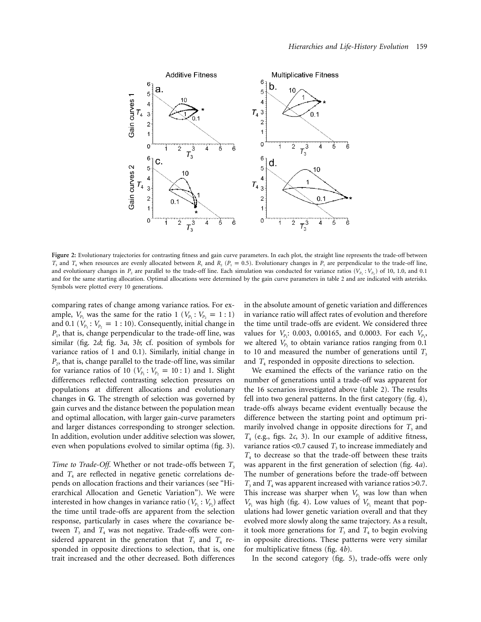

Figure 2: Evolutionary trajectories for contrasting fitness and gain curve parameters. In each plot, the straight line represents the trade-off between  $T_3$  and  $T_4$  when resources are evenly allocated between  $R_1$  and  $R_2$  ( $P_1 = 0.5$ ). Evolutionary changes in  $P_1$  are perpendicular to the trade-off line, and evolutionary changes in  $P_2$  are parallel to the trade-off line. Each simulation was conducted for variance ratios ( $V_{P_1}$  :  $V_{P_2}$ ) of 10, 1.0, and 0.1 and for the same starting allocation. Optimal allocations were determined by the gain curve parameters in table 2 and are indicated with asterisks. Symbols were plotted every 10 generations.

comparing rates of change among variance ratios. For example,  $V_{P_1}$  was the same for the ratio 1 ( $V_{P_1}$ :  $V_{P_2} = 1:1$ ) and 0.1 ( $V_{P_1}$ :  $V_{P_2} = 1$ : 10). Consequently, initial change in *P*<sub>1</sub>, that is, change perpendicular to the trade-off line, was similar (fig. 2*d*; fig. 3*a*, 3*b*; cf. position of symbols for variance ratios of 1 and 0.1). Similarly, initial change in *P*2, that is, change parallel to the trade-off line, was similar for variance ratios of 10 ( $V_{P_1}$ :  $V_{P_2} = 10$ : 1) and 1. Slight differences reflected contrasting selection pressures on populations at different allocations and evolutionary changes in **G**. The strength of selection was governed by gain curves and the distance between the population mean and optimal allocation, with larger gain-curve parameters and larger distances corresponding to stronger selection. In addition, evolution under additive selection was slower, even when populations evolved to similar optima (fig. 3).

*Time to Trade-Off.* Whether or not trade-offs between  $T_3$ and  $T_4$  are reflected in negative genetic correlations depends on allocation fractions and their variances (see "Hierarchical Allocation and Genetic Variation"). We were interested in how changes in variance ratio ( $V_{P_1}$ :  $V_{P_2}$ ) affect the time until trade-offs are apparent from the selection response, particularly in cases where the covariance between  $T_3$  and  $T_4$  was not negative. Trade-offs were considered apparent in the generation that  $T_3$  and  $T_4$  responded in opposite directions to selection, that is, one trait increased and the other decreased. Both differences

in the absolute amount of genetic variation and differences in variance ratio will affect rates of evolution and therefore the time until trade-offs are evident. We considered three values for  $V_{P_1}$ : 0.003, 0.00165, and 0.0003. For each  $V_{P_1}$ , we altered  $V_{P_2}$  to obtain variance ratios ranging from 0.1 to 10 and measured the number of generations until  $T<sub>3</sub>$ and  $T<sub>4</sub>$  responded in opposite directions to selection.

We examined the effects of the variance ratio on the number of generations until a trade-off was apparent for the 16 scenarios investigated above (table 2). The results fell into two general patterns. In the first category (fig. 4), trade-offs always became evident eventually because the difference between the starting point and optimum primarily involved change in opposite directions for  $T_3$  and *T*<sup>4</sup> (e.g., figs. 2*c*, 3). In our example of additive fitness, variance ratios  $<$ 0.7 caused  $T<sub>3</sub>$  to increase immediately and  $T<sub>4</sub>$  to decrease so that the trade-off between these traits was apparent in the first generation of selection (fig. 4*a*). The number of generations before the trade-off between  $T_3$  and  $T_4$  was apparent increased with variance ratios >0.7. This increase was sharper when  $V_{P_1}$  was low than when  $V_{P_1}$  was high (fig. 4). Low values of  $V_{P_1}$  meant that populations had lower genetic variation overall and that they evolved more slowly along the same trajectory. As a result, it took more generations for  $T_3$  and  $T_4$  to begin evolving in opposite directions. These patterns were very similar for multiplicative fitness (fig. 4*b*).

In the second category (fig. 5), trade-offs were only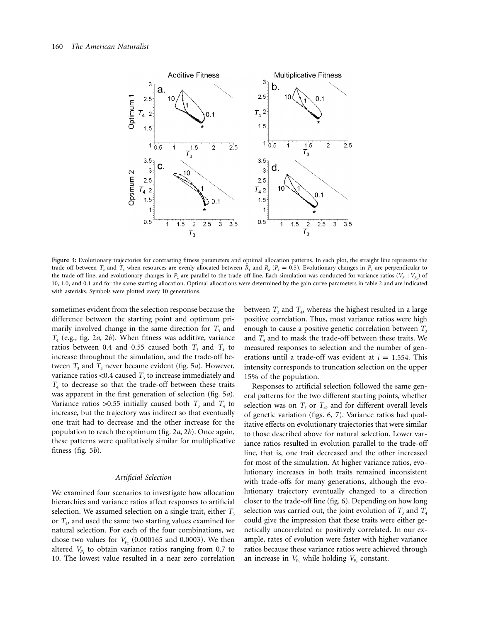

**Figure 3:** Evolutionary trajectories for contrasting fitness parameters and optimal allocation patterns. In each plot, the straight line represents the trade-off between  $T_3$  and  $T_4$  when resources are evenly allocated between  $R_1$  and  $R_2$  ( $P_1 = 0.5$ ). Evolutionary changes in  $P_1$  are perpendicular to the trade-off line, and evolutionary changes in *P<sub>2</sub>* are parallel to the trade-off line. Each simulation was conducted for variance ratios ( $V_p$ , :  $V_p$ ) of 10, 1.0, and 0.1 and for the same starting allocation. Optimal allocations were determined by the gain curve parameters in table 2 and are indicated with asterisks. Symbols were plotted every 10 generations.

sometimes evident from the selection response because the difference between the starting point and optimum primarily involved change in the same direction for  $T_3$  and *T*<sup>4</sup> (e.g., fig. 2*a*, 2*b*). When fitness was additive, variance ratios between 0.4 and 0.55 caused both  $T_3$  and  $T_4$  to increase throughout the simulation, and the trade-off between  $T_3$  and  $T_4$  never became evident (fig. 5*a*). However, variance ratios  $<$ 0.4 caused  $T<sub>3</sub>$  to increase immediately and *T*<sup>4</sup> to decrease so that the trade-off between these traits was apparent in the first generation of selection (fig. 5*a*). Variance ratios  $>0.55$  initially caused both  $T_3$  and  $T_4$  to increase, but the trajectory was indirect so that eventually one trait had to decrease and the other increase for the population to reach the optimum (fig. 2*a*, 2*b*). Once again, these patterns were qualitatively similar for multiplicative fitness (fig. 5*b*).

## *Artificial Selection*

We examined four scenarios to investigate how allocation hierarchies and variance ratios affect responses to artificial selection. We assumed selection on a single trait, either  $T_3$ or *T*4, and used the same two starting values examined for natural selection. For each of the four combinations, we chose two values for  $V_{P_2}$  (0.000165 and 0.0003). We then altered  $V_{P_1}$  to obtain variance ratios ranging from 0.7 to 10. The lowest value resulted in a near zero correlation between  $T_3$  and  $T_4$ , whereas the highest resulted in a large positive correlation. Thus, most variance ratios were high enough to cause a positive genetic correlation between  $T_3$ and  $T_4$  and to mask the trade-off between these traits. We measured responses to selection and the number of generations until a trade-off was evident at  $i = 1.554$ . This intensity corresponds to truncation selection on the upper 15% of the population.

Responses to artificial selection followed the same general patterns for the two different starting points, whether selection was on  $T_3$  or  $T_4$ , and for different overall levels of genetic variation (figs. 6, 7). Variance ratios had qualitative effects on evolutionary trajectories that were similar to those described above for natural selection. Lower variance ratios resulted in evolution parallel to the trade-off line, that is, one trait decreased and the other increased for most of the simulation. At higher variance ratios, evolutionary increases in both traits remained inconsistent with trade-offs for many generations, although the evolutionary trajectory eventually changed to a direction closer to the trade-off line (fig. 6). Depending on how long selection was carried out, the joint evolution of  $T_3$  and  $T_4$ could give the impression that these traits were either genetically uncorrelated or positively correlated. In our example, rates of evolution were faster with higher variance ratios because these variance ratios were achieved through an increase in  $V_{P_1}$  while holding  $V_{P_2}$  constant.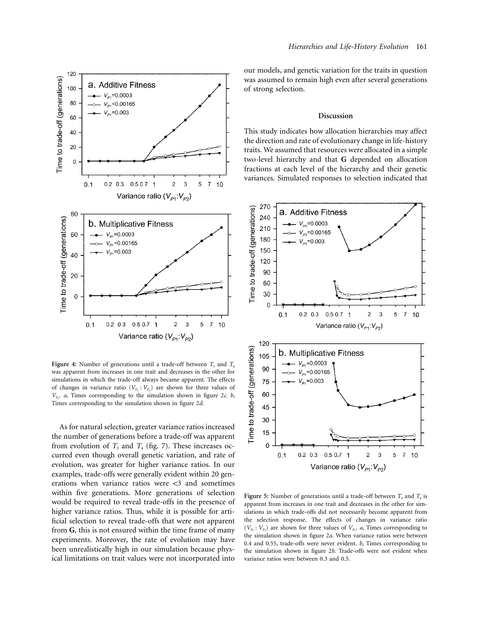

**Figure 4:** Number of generations until a trade-off between  $T_3$  and  $T_4$ was apparent from increases in one trait and decreases in the other for simulations in which the trade-off always became apparent. The effects of changes in variance ratio  $(V_{P_1}: V_{P_2})$  are shown for three values of  $V_{P_1}$ . *a*, Times corresponding to the simulation shown in figure 2*c. b*, Times corresponding to the simulation shown in figure 2*d*.

As for natural selection, greater variance ratios increased the number of generations before a trade-off was apparent from evolution of  $T_3$  and  $T_4$  (fig. 7). These increases occurred even though overall genetic variation, and rate of evolution, was greater for higher variance ratios. In our examples, trade-offs were generally evident within 20 generations when variance ratios were  $\langle 3 \rangle$  and sometimes within five generations. More generations of selection would be required to reveal trade-offs in the presence of higher variance ratios. Thus, while it is possible for artificial selection to reveal trade-offs that were not apparent from **G**, this is not ensured within the time frame of many experiments. Moreover, the rate of evolution may have been unrealistically high in our simulation because physical limitations on trait values were not incorporated into

our models, and genetic variation for the traits in question was assumed to remain high even after several generations of strong selection.

#### **Discussion**

This study indicates how allocation hierarchies may affect the direction and rate of evolutionary change in life-history traits. We assumed that resources were allocated in a simple two-level hierarchy and that **G** depended on allocation fractions at each level of the hierarchy and their genetic variances. Simulated responses to selection indicated that



**Figure 5:** Number of generations until a trade-off between  $T_3$  and  $T_4$  is apparent from increases in one trait and decreases in the other for simulations in which trade-offs did not necessarily become apparent from the selection response. The effects of changes in variance ratio  $(V_{P_1}: V_{P_2})$  are shown for three values of  $V_{P_1}$ , *a*, Times corresponding to the simulation shown in figure 2*a*. When variance ratios were between 0.4 and 0.55, trade-offs were never evident. *b*, Times corresponding to the simulation shown in figure 2*b*. Trade-offs were not evident when variance ratios were between 0.3 and 0.5.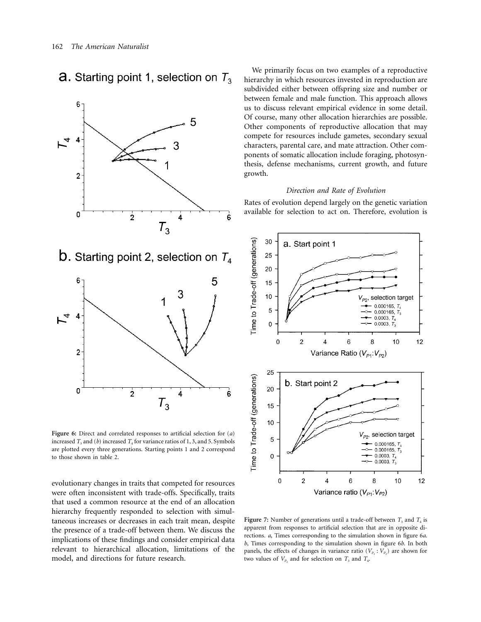**a.** Starting point 1, selection on  $T_3$ 



**Figure 6:** Direct and correlated responses to artificial selection for (*a*) increased  $T_3$  and (*b*) increased  $T_4$  for variance ratios of 1, 3, and 5. Symbols are plotted every three generations. Starting points 1 and 2 correspond to those shown in table 2.

evolutionary changes in traits that competed for resources were often inconsistent with trade-offs. Specifically, traits that used a common resource at the end of an allocation hierarchy frequently responded to selection with simultaneous increases or decreases in each trait mean, despite the presence of a trade-off between them. We discuss the implications of these findings and consider empirical data relevant to hierarchical allocation, limitations of the model, and directions for future research.

We primarily focus on two examples of a reproductive hierarchy in which resources invested in reproduction are subdivided either between offspring size and number or between female and male function. This approach allows us to discuss relevant empirical evidence in some detail. Of course, many other allocation hierarchies are possible. Other components of reproductive allocation that may compete for resources include gametes, secondary sexual characters, parental care, and mate attraction. Other components of somatic allocation include foraging, photosynthesis, defense mechanisms, current growth, and future growth.

### *Direction and Rate of Evolution*

Rates of evolution depend largely on the genetic variation available for selection to act on. Therefore, evolution is



**Figure 7:** Number of generations until a trade-off between  $T_3$  and  $T_4$  is apparent from responses to artificial selection that are in opposite directions. *a*, Times corresponding to the simulation shown in figure 6*a*. *b*, Times corresponding to the simulation shown in figure 6*b*. In both panels, the effects of changes in variance ratio  $(V_{P_1}: V_{P_2})$  are shown for two values of  $V_{P_2}$  and for selection on  $T_3$  and  $T_4$ .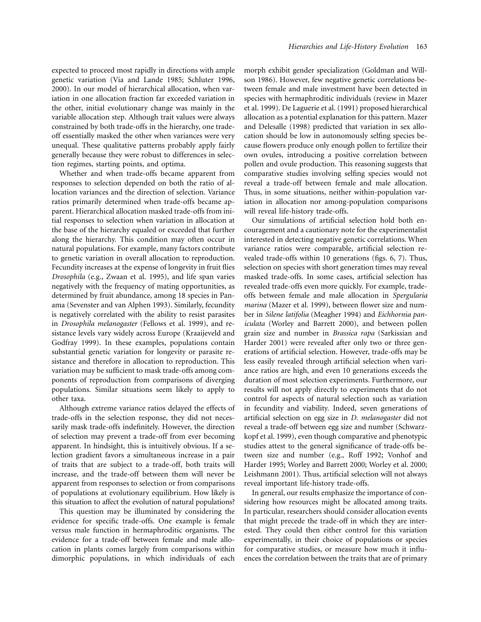expected to proceed most rapidly in directions with ample genetic variation (Via and Lande 1985; Schluter 1996, 2000). In our model of hierarchical allocation, when variation in one allocation fraction far exceeded variation in the other, initial evolutionary change was mainly in the variable allocation step. Although trait values were always constrained by both trade-offs in the hierarchy, one tradeoff essentially masked the other when variances were very unequal. These qualitative patterns probably apply fairly generally because they were robust to differences in selection regimes, starting points, and optima.

Whether and when trade-offs became apparent from responses to selection depended on both the ratio of allocation variances and the direction of selection. Variance ratios primarily determined when trade-offs became apparent. Hierarchical allocation masked trade-offs from initial responses to selection when variation in allocation at the base of the hierarchy equaled or exceeded that further along the hierarchy. This condition may often occur in natural populations. For example, many factors contribute to genetic variation in overall allocation to reproduction. Fecundity increases at the expense of longevity in fruit flies *Drosophila* (e.g., Zwaan et al. 1995), and life span varies negatively with the frequency of mating opportunities, as determined by fruit abundance, among 18 species in Panama (Sevenster and van Alphen 1993). Similarly, fecundity is negatively correlated with the ability to resist parasites in *Drosophila melanogaster* (Fellows et al. 1999), and resistance levels vary widely across Europe (Kraaijeveld and Godfray 1999). In these examples, populations contain substantial genetic variation for longevity or parasite resistance and therefore in allocation to reproduction. This variation may be sufficient to mask trade-offs among components of reproduction from comparisons of diverging populations. Similar situations seem likely to apply to other taxa.

Although extreme variance ratios delayed the effects of trade-offs in the selection response, they did not necessarily mask trade-offs indefinitely. However, the direction of selection may prevent a trade-off from ever becoming apparent. In hindsight, this is intuitively obvious. If a selection gradient favors a simultaneous increase in a pair of traits that are subject to a trade-off, both traits will increase, and the trade-off between them will never be apparent from responses to selection or from comparisons of populations at evolutionary equilibrium. How likely is this situation to affect the evolution of natural populations?

This question may be illuminated by considering the evidence for specific trade-offs. One example is female versus male function in hermaphroditic organisms. The evidence for a trade-off between female and male allocation in plants comes largely from comparisons within dimorphic populations, in which individuals of each morph exhibit gender specialization (Goldman and Willson 1986). However, few negative genetic correlations between female and male investment have been detected in species with hermaphroditic individuals (review in Mazer et al. 1999). De Laguerie et al. (1991) proposed hierarchical allocation as a potential explanation for this pattern. Mazer and Delesalle (1998) predicted that variation in sex allocation should be low in autonomously selfing species because flowers produce only enough pollen to fertilize their own ovules, introducing a positive correlation between pollen and ovule production. This reasoning suggests that comparative studies involving selfing species would not reveal a trade-off between female and male allocation. Thus, in some situations, neither within-population variation in allocation nor among-population comparisons will reveal life-history trade-offs.

Our simulations of artificial selection hold both encouragement and a cautionary note for the experimentalist interested in detecting negative genetic correlations. When variance ratios were comparable, artificial selection revealed trade-offs within 10 generations (figs. 6, 7). Thus, selection on species with short generation times may reveal masked trade-offs. In some cases, artificial selection has revealed trade-offs even more quickly. For example, tradeoffs between female and male allocation in *Spergularia marina* (Mazer et al. 1999), between flower size and number in *Silene latifolia* (Meagher 1994) and *Eichhornia paniculata* (Worley and Barrett 2000), and between pollen grain size and number in *Brassica rapa* (Sarkissian and Harder 2001) were revealed after only two or three generations of artificial selection. However, trade-offs may be less easily revealed through artificial selection when variance ratios are high, and even 10 generations exceeds the duration of most selection experiments. Furthermore, our results will not apply directly to experiments that do not control for aspects of natural selection such as variation in fecundity and viability. Indeed, seven generations of artificial selection on egg size in *D. melanogaster* did not reveal a trade-off between egg size and number (Schwarzkopf et al. 1999), even though comparative and phenotypic studies attest to the general significance of trade-offs between size and number (e.g., Roff 1992; Vonhof and Harder 1995; Worley and Barrett 2000; Worley et al. 2000; Leishmann 2001). Thus, artificial selection will not always reveal important life-history trade-offs.

In general, our results emphasize the importance of considering how resources might be allocated among traits. In particular, researchers should consider allocation events that might precede the trade-off in which they are interested. They could then either control for this variation experimentally, in their choice of populations or species for comparative studies, or measure how much it influences the correlation between the traits that are of primary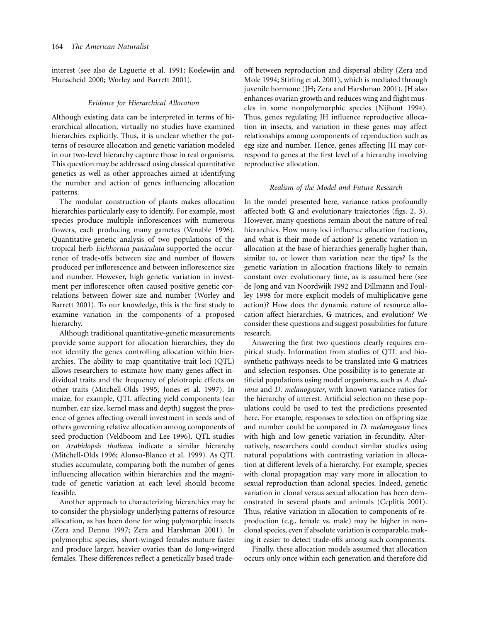interest (see also de Laguerie et al. 1991; Koelewijn and Hunscheid 2000; Worley and Barrett 2001).

#### *Evidence for Hierarchical Allocation*

Although existing data can be interpreted in terms of hierarchical allocation, virtually no studies have examined hierarchies explicitly. Thus, it is unclear whether the patterns of resource allocation and genetic variation modeled in our two-level hierarchy capture those in real organisms. This question may be addressed using classical quantitative genetics as well as other approaches aimed at identifying the number and action of genes influencing allocation patterns.

The modular construction of plants makes allocation hierarchies particularly easy to identify. For example, most species produce multiple inflorescences with numerous flowers, each producing many gametes (Venable 1996). Quantitative-genetic analysis of two populations of the tropical herb *Eichhornia paniculata* supported the occurrence of trade-offs between size and number of flowers produced per inflorescence and between inflorescence size and number. However, high genetic variation in investment per inflorescence often caused positive genetic correlations between flower size and number (Worley and Barrett 2001). To our knowledge, this is the first study to examine variation in the components of a proposed hierarchy.

Although traditional quantitative-genetic measurements provide some support for allocation hierarchies, they do not identify the genes controlling allocation within hierarchies. The ability to map quantitative trait loci (QTL) allows researchers to estimate how many genes affect individual traits and the frequency of pleiotropic effects on other traits (Mitchell-Olds 1995; Jones et al. 1997). In maize, for example, QTL affecting yield components (ear number, ear size, kernel mass and depth) suggest the presence of genes affecting overall investment in seeds and of others governing relative allocation among components of seed production (Veldboom and Lee 1996). QTL studies on *Arabidopsis thaliana* indicate a similar hierarchy (Mitchell-Olds 1996; Alonso-Blanco et al. 1999). As QTL studies accumulate, comparing both the number of genes influencing allocation within hierarchies and the magnitude of genetic variation at each level should become feasible.

Another approach to characterizing hierarchies may be to consider the physiology underlying patterns of resource allocation, as has been done for wing polymorphic insects (Zera and Denno 1997; Zera and Harshman 2001). In polymorphic species, short-winged females mature faster and produce larger, heavier ovaries than do long-winged females. These differences reflect a genetically based tradeoff between reproduction and dispersal ability (Zera and Mole 1994; Stirling et al. 2001), which is mediated through juvenile hormone (JH; Zera and Harshman 2001). JH also enhances ovarian growth and reduces wing and flight muscles in some nonpolymorphic species (Nijhout 1994). Thus, genes regulating JH influence reproductive allocation in insects, and variation in these genes may affect relationships among components of reproduction such as egg size and number. Hence, genes affecting JH may correspond to genes at the first level of a hierarchy involving reproductive allocation.

#### *Realism of the Model and Future Research*

In the model presented here, variance ratios profoundly affected both **G** and evolutionary trajectories (figs. 2, 3). However, many questions remain about the nature of real hierarchies. How many loci influence allocation fractions, and what is their mode of action? Is genetic variation in allocation at the base of hierarchies generally higher than, similar to, or lower than variation near the tips? Is the genetic variation in allocation fractions likely to remain constant over evolutionary time, as is assumed here (see de Jong and van Noordwijk 1992 and Dillmann and Foulley 1998 for more explicit models of multiplicative gene action)? How does the dynamic nature of resource allocation affect hierarchies, **G** matrices, and evolution? We consider these questions and suggest possibilities for future research.

Answering the first two questions clearly requires empirical study. Information from studies of QTL and biosynthetic pathways needs to be translated into **G** matrices and selection responses. One possibility is to generate artificial populations using model organisms, such as *A. thaliana* and *D. melanogaster*, with known variance ratios for the hierarchy of interest. Artificial selection on these populations could be used to test the predictions presented here. For example, responses to selection on offspring size and number could be compared in *D. melanogaster* lines with high and low genetic variation in fecundity. Alternatively, researchers could conduct similar studies using natural populations with contrasting variation in allocation at different levels of a hierarchy. For example, species with clonal propagation may vary more in allocation to sexual reproduction than aclonal species. Indeed, genetic variation in clonal versus sexual allocation has been demonstrated in several plants and animals (Ceplitis 2001). Thus, relative variation in allocation to components of reproduction (e.g., female vs. male) may be higher in nonclonal species, even if absolute variation is comparable, making it easier to detect trade-offs among such components.

Finally, these allocation models assumed that allocation occurs only once within each generation and therefore did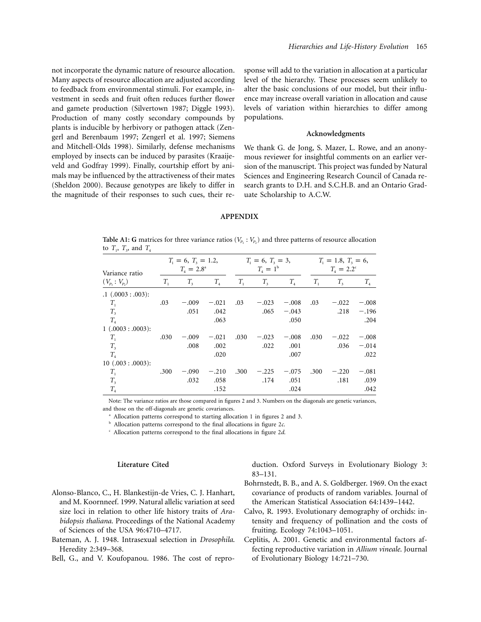not incorporate the dynamic nature of resource allocation. Many aspects of resource allocation are adjusted according to feedback from environmental stimuli. For example, investment in seeds and fruit often reduces further flower and gamete production (Silvertown 1987; Diggle 1993). Production of many costly secondary compounds by plants is inducible by herbivory or pathogen attack (Zengerl and Berenbaum 1997; Zengerl et al. 1997; Siemens and Mitchell-Olds 1998). Similarly, defense mechanisms employed by insects can be induced by parasites (Kraaijeveld and Godfray 1999). Finally, courtship effort by animals may be influenced by the attractiveness of their mates (Sheldon 2000). Because genotypes are likely to differ in the magnitude of their responses to such cues, their re-

sponse will add to the variation in allocation at a particular level of the hierarchy. These processes seem unlikely to alter the basic conclusions of our model, but their influence may increase overall variation in allocation and cause levels of variation within hierarchies to differ among populations.

## **Acknowledgments**

We thank G. de Jong, S. Mazer, L. Rowe, and an anonymous reviewer for insightful comments on an earlier version of the manuscript. This project was funded by Natural Sciences and Engineering Research Council of Canada research grants to D.H. and S.C.H.B. and an Ontario Graduate Scholarship to A.C.W.

## **APPENDIX**

**Table A1: G** matrices for three variance ratios ( $V_p$ :  $V_p$ ) and three patterns of resource allocation to  $T_1$ ,  $T_3$ , and  $T_4$ 

| Variance ratio       | $T_1 = 6, T_3 = 1.2,$<br>$T_{4} = 2.8^{a}$ |             | $T_1 = 6, T_3 = 3,$<br>$T_4 = 1^b$ |         | $T_1 = 1.8, T_3 = 6,$<br>$T_{4} = 2.2^{c}$ |         |         |             |                            |
|----------------------|--------------------------------------------|-------------|------------------------------------|---------|--------------------------------------------|---------|---------|-------------|----------------------------|
| $(V_{p_1}: V_{p_2})$ | $T_{1}$                                    | $T_{\rm a}$ | $T_{A}$                            | $T_{1}$ | $T_{3}$                                    | $T_{A}$ | $T_{1}$ | $T_{\rm a}$ | $T_{\scriptscriptstyle 4}$ |
| .1(.0003:.003):      |                                            |             |                                    |         |                                            |         |         |             |                            |
| $T_{1}$              | .03                                        | $-.009$     | $-.021$                            | .03     | $-.023$                                    | $-.008$ | .03     | $-.022$     | $-.008$                    |
| $T_{3}$              |                                            | .051        | .042                               |         | .065                                       | $-.043$ |         | .218        | $-.196$                    |
| $T_{4}$              |                                            |             | .063                               |         |                                            | .050    |         |             | .204                       |
| 1(.0003:.0003):      |                                            |             |                                    |         |                                            |         |         |             |                            |
| $T_{1}$              | .030                                       | $-.009$     | $-.021$                            | .030    | $-.023$                                    | $-.008$ | .030    | $-.022$     | $-.008$                    |
| $T_{3}$              |                                            | .008        | .002                               |         | .022                                       | .001    |         | .036        | $-.014$                    |
| $T_{A}$              |                                            |             | .020                               |         |                                            | .007    |         |             | .022                       |
| 10(.003:.0003):      |                                            |             |                                    |         |                                            |         |         |             |                            |
| $T_{1}$              | .300                                       | $-.090$     | $-.210$                            | .300    | $-.225$                                    | $-.075$ | .300    | $-.220$     | $-.081$                    |
| $T_{3}$              |                                            | .032        | .058                               |         | .174                                       | .051    |         | .181        | .039                       |
| $T_{4}$              |                                            |             | .152                               |         |                                            | .024    |         |             | .042                       |

Note: The variance ratios are those compared in figures 2 and 3. Numbers on the diagonals are genetic variances, and those on the off-diagonals are genetic covariances.

<sup>a</sup> Allocation patterns correspond to starting allocation 1 in figures 2 and 3.

<sup>b</sup> Allocation patterns correspond to the final allocations in figure 2*c*.

<sup>c</sup> Allocation patterns correspond to the final allocations in figure 2*d*.

#### **Literature Cited**

duction. Oxford Surveys in Evolutionary Biology 3: 83–131.

- Alonso-Blanco, C., H. Blankestijn-de Vries, C. J. Hanhart, and M. Koornneef. 1999. Natural allelic variation at seed size loci in relation to other life history traits of *Arabidopsis thaliana*. Proceedings of the National Academy of Sciences of the USA 96:4710–4717.
- Bateman, A. J. 1948. Intrasexual selection in *Drosophila*. Heredity 2:349–368.

Bell, G., and V. Koufopanou. 1986. The cost of repro-

- Bohrnstedt, B. B., and A. S. Goldberger. 1969. On the exact covariance of products of random variables. Journal of the American Statistical Association 64:1439–1442.
- Calvo, R. 1993. Evolutionary demography of orchids: intensity and frequency of pollination and the costs of fruiting. Ecology 74:1043–1051.
- Ceplitis, A. 2001. Genetic and environmental factors affecting reproductive variation in *Allium vineale*. Journal of Evolutionary Biology 14:721–730.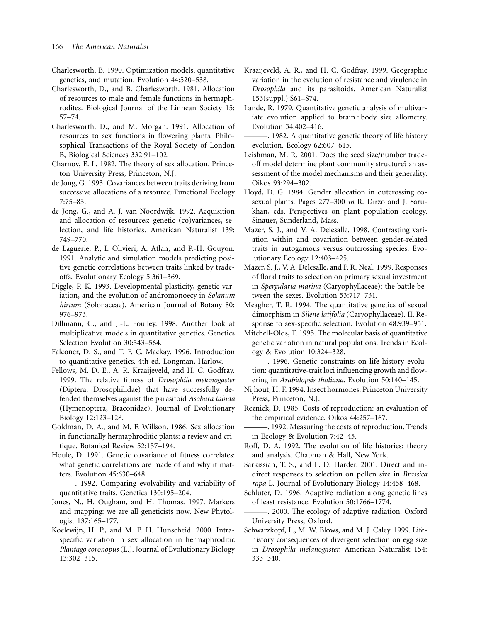- Charlesworth, B. 1990. Optimization models, quantitative genetics, and mutation. Evolution 44:520–538.
- Charlesworth, D., and B. Charlesworth. 1981. Allocation of resources to male and female functions in hermaphrodites. Biological Journal of the Linnean Society 15: 57–74.
- Charlesworth, D., and M. Morgan. 1991. Allocation of resources to sex functions in flowering plants. Philosophical Transactions of the Royal Society of London B, Biological Sciences 332:91–102.
- Charnov, E. L. 1982. The theory of sex allocation. Princeton University Press, Princeton, N.J.
- de Jong, G. 1993. Covariances between traits deriving from successive allocations of a resource. Functional Ecology 7:75–83.
- de Jong, G., and A. J. van Noordwijk. 1992. Acquisition and allocation of resources: genetic (co)variances, selection, and life histories. American Naturalist 139: 749–770.
- de Laguerie, P., I. Olivieri, A. Atlan, and P.-H. Gouyon. 1991. Analytic and simulation models predicting positive genetic correlations between traits linked by tradeoffs. Evolutionary Ecology 5:361–369.
- Diggle, P. K. 1993. Developmental plasticity, genetic variation, and the evolution of andromonoecy in *Solanum hirtum* (Solonaceae). American Journal of Botany 80: 976–973.
- Dillmann, C., and J.-L. Foulley. 1998. Another look at multiplicative models in quantitative genetics. Genetics Selection Evolution 30:543–564.
- Falconer, D. S., and T. F. C. Mackay. 1996. Introduction to quantitative genetics. 4th ed. Longman, Harlow.
- Fellows, M. D. E., A. R. Kraaijeveld, and H. C. Godfray. 1999. The relative fitness of *Drosophila melanogaster* (Diptera: Drosophilidae) that have successfully defended themselves against the parasitoid *Asobara tabida* (Hymenoptera, Braconidae). Journal of Evolutionary Biology 12:123–128.
- Goldman, D. A., and M. F. Willson. 1986. Sex allocation in functionally hermaphroditic plants: a review and critique. Botanical Review 52:157–194.
- Houle, D. 1991. Genetic covariance of fitness correlates: what genetic correlations are made of and why it matters. Evolution 45:630–648.
- ———. 1992. Comparing evolvability and variability of quantitative traits. Genetics 130:195–204.
- Jones, N., H. Ougham, and H. Thomas. 1997. Markers and mapping: we are all geneticists now. New Phytologist 137:165–177.
- Koelewijn, H. P., and M. P. H. Hunscheid. 2000. Intraspecific variation in sex allocation in hermaphroditic *Plantago coronopus* (L.). Journal of Evolutionary Biology 13:302–315.
- Kraaijeveld, A. R., and H. C. Godfray. 1999. Geographic variation in the evolution of resistance and virulence in *Drosophila* and its parasitoids. American Naturalist 153(suppl.):S61–S74.
- Lande, R. 1979. Quantitative genetic analysis of multivariate evolution applied to brain : body size allometry. Evolution 34:402–416.
- ———. 1982. A quantitative genetic theory of life history evolution. Ecology 62:607–615.
- Leishman, M. R. 2001. Does the seed size/number tradeoff model determine plant community structure? an assessment of the model mechanisms and their generality. Oikos 93:294–302.
- Lloyd, D. G. 1984. Gender allocation in outcrossing cosexual plants. Pages 277–300 *in* R. Dirzo and J. Sarukhan, eds. Perspectives on plant population ecology. Sinauer, Sunderland, Mass.
- Mazer, S. J., and V. A. Delesalle. 1998. Contrasting variation within and covariation between gender-related traits in autogamous versus outcrossing species. Evolutionary Ecology 12:403–425.
- Mazer, S. J., V. A. Delesalle, and P. R. Neal. 1999. Responses of floral traits to selection on primary sexual investment in *Spergularia marina* (Caryophyllaceae): the battle between the sexes. Evolution 53:717–731.
- Meagher, T. R. 1994. The quantitative genetics of sexual dimorphism in *Silene latifolia* (Caryophyllaceae). II. Response to sex-specific selection. Evolution 48:939–951.
- Mitchell-Olds, T. 1995. The molecular basis of quantitative genetic variation in natural populations. Trends in Ecology & Evolution 10:324–328.
- ———. 1996. Genetic constraints on life-history evolution: quantitative-trait loci influencing growth and flowering in *Arabidopsis thaliana*. Evolution 50:140–145.
- Nijhout, H. F. 1994. Insect hormones. Princeton University Press, Princeton, N.J.
- Reznick, D. 1985. Costs of reproduction: an evaluation of the empirical evidence. Oikos 44:257–167.
- ———. 1992. Measuring the costs of reproduction. Trends in Ecology & Evolution 7:42–45.
- Roff, D. A. 1992. The evolution of life histories: theory and analysis. Chapman & Hall, New York.
- Sarkissian, T. S., and L. D. Harder. 2001. Direct and indirect responses to selection on pollen size in *Brassica rapa* L. Journal of Evolutionary Biology 14:458–468.
- Schluter, D. 1996. Adaptive radiation along genetic lines of least resistance. Evolution 50:1766–1774.
- ———. 2000. The ecology of adaptive radiation. Oxford University Press, Oxford.
- Schwarzkopf, L., M. W. Blows, and M. J. Caley. 1999. Lifehistory consequences of divergent selection on egg size in *Drosophila melanogaster*. American Naturalist 154: 333–340.